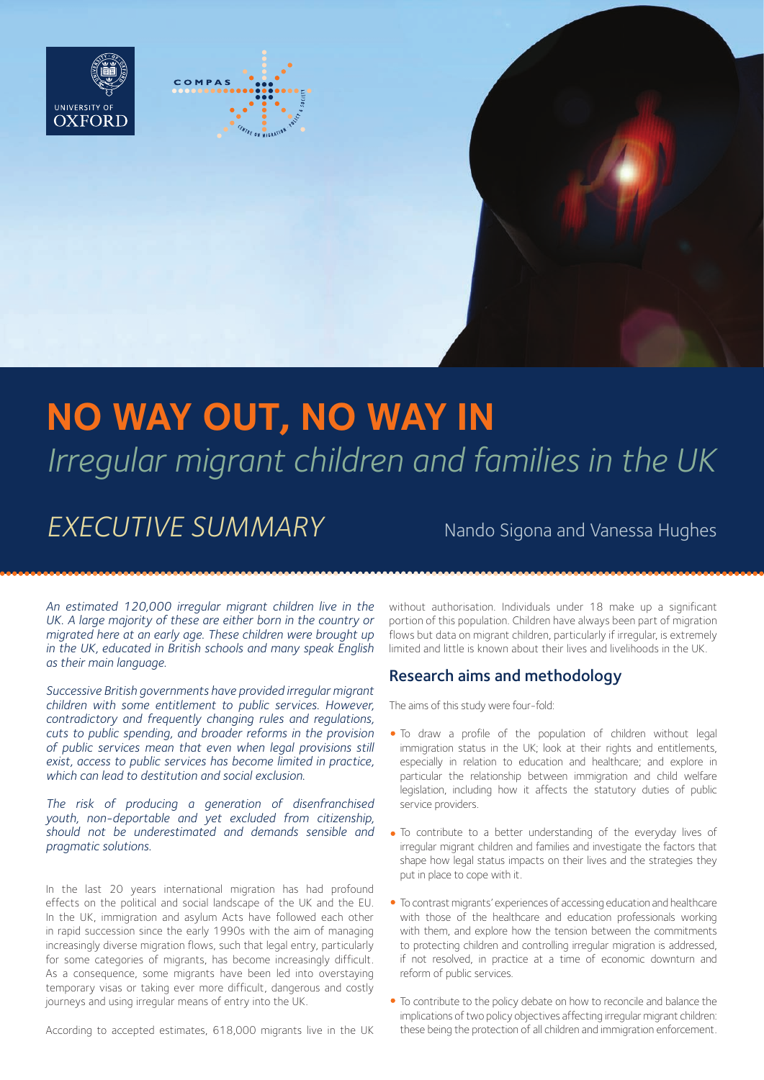



# **NO WAY OUT, NO WAY IN** *Irregular migrant children and families in the UK*

## **EXECUTIVE SUMMARY** Nando Sigona and Vanessa Hughes

*An estimated 120,000 irregular migrant children live in the*  UK. A large majority of these are either born in the country or *migrated here at an early age. These children were brought up in the UK, educated in British schools and many speak English as their main language.*

*Successive British governments have provided irregular migrant children with some entitlement to public services. However, contradictory and frequently changing rules and regulations, cuts to public spending, and broader reforms in the provision of public services mean that even when legal provisions still exist, access to public services has become limited in practice, which can lead to destitution and social exclusion.*

*The risk of producing a generation of disenfranchised youth, non-deportable and yet excluded from citizenship, should not be underestimated and demands sensible and pragmatic solutions.*

In the last 20 years international migration has had profound effects on the political and social landscape of the UK and the EU. In the UK, immigration and asylum Acts have followed each other in rapid succession since the early 1990s with the aim of managing increasingly diverse migration flows, such that legal entry, particularly for some categories of migrants, has become increasingly difficult. As a consequence, some migrants have been led into overstaying temporary visas or taking ever more difficult, dangerous and costly journeys and using irregular means of entry into the UK.

According to accepted estimates, 618,000 migrants live in the UK

without authorisation. Individuals under 18 make up a significant portion of this population. Children have always been part of migration flows but data on migrant children, particularly if irregular, is extremely limited and little is known about their lives and livelihoods in the UK.

#### Research aims and methodology

The aims of this study were four-fold:

- To draw a profile of the population of children without legal immigration status in the UK; look at their rights and entitlements, especially in relation to education and healthcare; and explore in particular the relationship between immigration and child welfare legislation, including how it affects the statutory duties of public service providers.
- To contribute to a better understanding of the everyday lives of irregular migrant children and families and investigate the factors that shape how legal status impacts on their lives and the strategies they put in place to cope with it.
- To contrast migrants' experiences of accessing education and healthcare with those of the healthcare and education professionals working with them, and explore how the tension between the commitments to protecting children and controlling irregular migration is addressed, if not resolved, in practice at a time of economic downturn and reform of public services.
- To contribute to the policy debate on how to reconcile and balance the implications of two policy objectives affecting irregular migrant children: these being the protection of all children and immigration enforcement.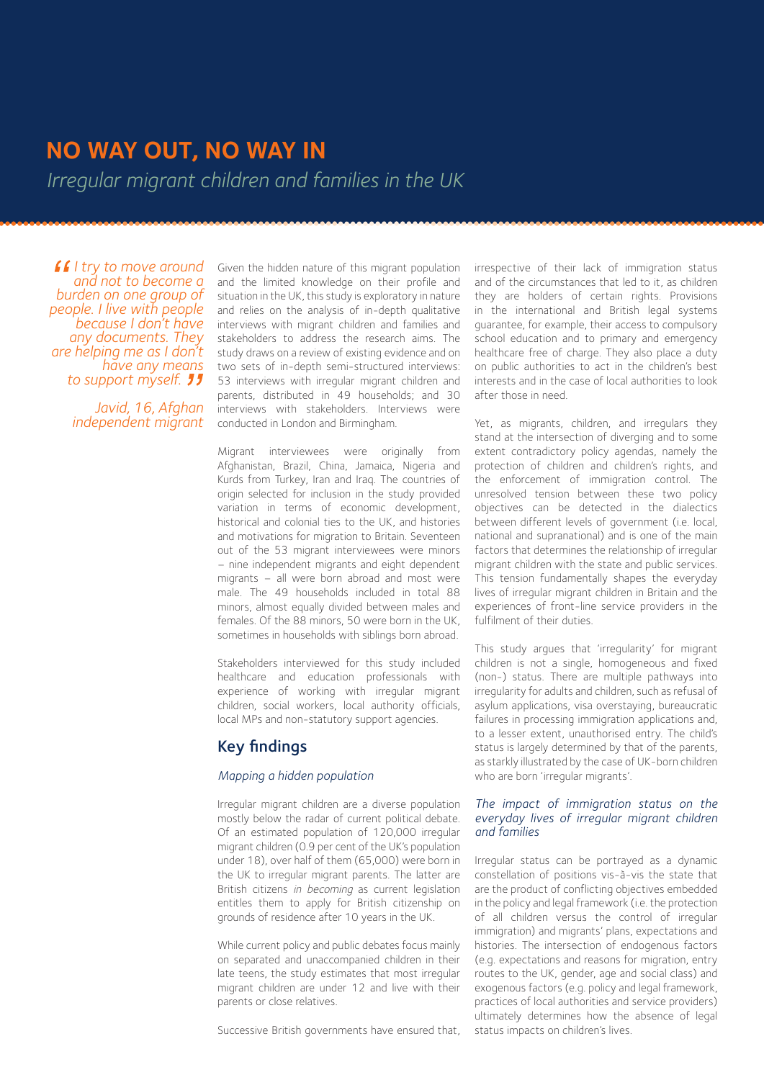### **NO WAY OUT, NO WAY IN**

*Irregular migrant children and families in the UK*

*I try to move around and not to become a burden on one group of people. I live with people because I don't have any documents. They are helping me as I don't have any means to support myself.*

*Javid, 16, Afghan independent migrant*

Given the hidden nature of this migrant population and the limited knowledge on their profile and situation in the UK, this study is exploratory in nature and relies on the analysis of in-depth qualitative interviews with migrant children and families and stakeholders to address the research aims. The study draws on a review of existing evidence and on two sets of in-depth semi-structured interviews: 53 interviews with irregular migrant children and parents, distributed in 49 households; and 30 interviews with stakeholders. Interviews were conducted in London and Birmingham.

Migrant interviewees were originally from Afghanistan, Brazil, China, Jamaica, Nigeria and Kurds from Turkey, Iran and Iraq. The countries of origin selected for inclusion in the study provided variation in terms of economic development, historical and colonial ties to the UK, and histories and motivations for migration to Britain. Seventeen out of the 53 migrant interviewees were minors – nine independent migrants and eight dependent migrants – all were born abroad and most were male. The 49 households included in total 88 minors, almost equally divided between males and females. Of the 88 minors, 50 were born in the UK, sometimes in households with siblings born abroad.

Stakeholders interviewed for this study included healthcare and education professionals with experience of working with irregular migrant children, social workers, local authority officials, local MPs and non-statutory support agencies.

#### Key findings

#### *Mapping a hidden population*

Irregular migrant children are a diverse population mostly below the radar of current political debate. Of an estimated population of 120,000 irregular migrant children (0.9 per cent of the UK's population under 18), over half of them (65,000) were born in the UK to irregular migrant parents. The latter are British citizens in becoming as current legislation entitles them to apply for British citizenship on grounds of residence after 10 years in the UK.

While current policy and public debates focus mainly on separated and unaccompanied children in their late teens, the study estimates that most irregular migrant children are under 12 and live with their parents or close relatives.

Successive British governments have ensured that,

irrespective of their lack of immigration status and of the circumstances that led to it, as children they are holders of certain rights. Provisions in the international and British legal systems guarantee, for example, their access to compulsory school education and to primary and emergency healthcare free of charge. They also place a duty on public authorities to act in the children's best interests and in the case of local authorities to look after those in need.

Yet, as migrants, children, and irregulars they stand at the intersection of diverging and to some extent contradictory policy agendas, namely the protection of children and children's rights, and the enforcement of immigration control. The unresolved tension between these two policy objectives can be detected in the dialectics between different levels of government (i.e. local, national and supranational) and is one of the main factors that determines the relationship of irregular migrant children with the state and public services. This tension fundamentally shapes the everyday lives of irregular migrant children in Britain and the experiences of front-line service providers in the fulfilment of their duties.

This study argues that 'irregularity' for migrant children is not a single, homogeneous and fixed (non-) status. There are multiple pathways into irregularity for adults and children, such as refusal of asylum applications, visa overstaying, bureaucratic failures in processing immigration applications and, to a lesser extent, unauthorised entry. The child's status is largely determined by that of the parents, as starkly illustrated by the case of UK-born children who are born 'irregular migrants'.

#### *The impact of immigration status on the everyday lives of irregular migrant children and families*

Irregular status can be portrayed as a dynamic constellation of positions vis-à-vis the state that are the product of conflicting objectives embedded in the policy and legal framework (i.e. the protection of all children versus the control of irregular immigration) and migrants' plans, expectations and histories. The intersection of endogenous factors (e.g. expectations and reasons for migration, entry routes to the UK, gender, age and social class) and exogenous factors (e.g. policy and legal framework, practices of local authorities and service providers) ultimately determines how the absence of legal status impacts on children's lives.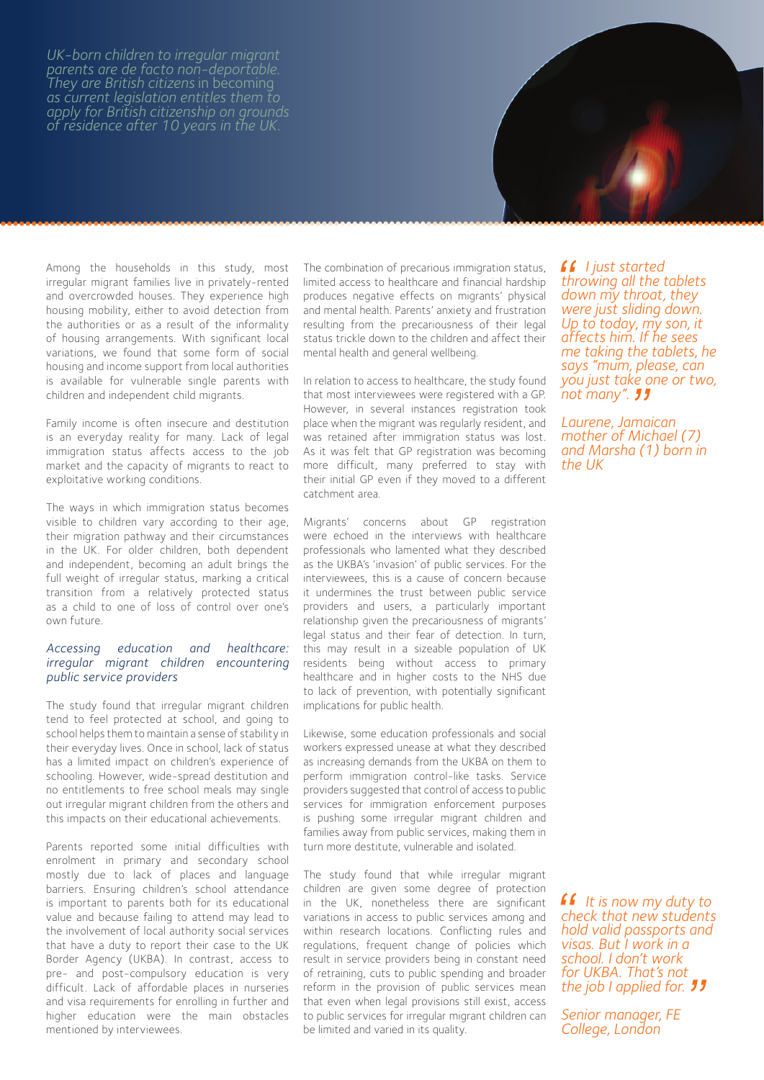*UK-born children to irregular migrant parents are de facto non-deportable. They are British citizens* in becoming *as current legislation entitles them to apply for British citizenship on grounds of residence after 10 years in the UK.* 

Among the households in this study, most irregular migrant families live in privately-rented and overcrowded houses. They experience high housing mobility, either to avoid detection from the authorities or as a result of the informality of housing arrangements. With significant local variations, we found that some form of social housing and income support from local authorities is available for vulnerable single parents with

Family income is often insecure and destitution is an everyday reality for many. Lack of legal immigration status affects access to the job market and the capacity of migrants to react to exploitative working conditions.

children and independent child migrants.

The ways in which immigration status becomes visible to children vary according to their age, their migration pathway and their circumstances in the UK. For older children, both dependent and independent, becoming an adult brings the full weight of irregular status, marking a critical transition from a relatively protected status as a child to one of loss of control over one's own future.

#### *Accessing education and healthcare: irregular migrant children encountering public service providers*

The study found that irregular migrant children tend to feel protected at school, and going to school helps them to maintain a sense of stability in their everyday lives. Once in school, lack of status has a limited impact on children's experience of schooling. However, wide-spread destitution and no entitlements to free school meals may single out irregular migrant children from the others and this impacts on their educational achievements.

Parents reported some initial difficulties with enrolment in primary and secondary school mostly due to lack of places and language barriers. Ensuring children's school attendance is important to parents both for its educational value and because failing to attend may lead to the involvement of local authority social services that have a duty to report their case to the UK Border Agency (UKBA). In contrast, access to pre- and post-compulsory education is very difficult. Lack of affordable places in nurseries and visa requirements for enrolling in further and higher education were the main obstacles mentioned by interviewees.

The combination of precarious immigration status, limited access to healthcare and financial hardship produces negative effects on migrants' physical and mental health. Parents' anxiety and frustration resulting from the precariousness of their legal status trickle down to the children and affect their mental health and general wellbeing.

In relation to access to healthcare, the study found that most interviewees were registered with a GP. However, in several instances registration took place when the migrant was regularly resident, and was retained after immigration status was lost. As it was felt that GP registration was becoming more difficult, many preferred to stay with their initial GP even if they moved to a different catchment area.

Migrants' concerns about GP registration were echoed in the interviews with healthcare professionals who lamented what they described as the UKBA's 'invasion' of public services. For the interviewees, this is a cause of concern because it undermines the trust between public service providers and users, a particularly important relationship given the precariousness of migrants' legal status and their fear of detection. In turn, this may result in a sizeable population of UK residents being without access to primary healthcare and in higher costs to the NHS due to lack of prevention, with potentially significant implications for public health.

Likewise, some education professionals and social workers expressed unease at what they described as increasing demands from the UKBA on them to perform immigration control-like tasks. Service providers suggested that control of access to public services for immigration enforcement purposes is pushing some irregular migrant children and families away from public services, making them in turn more destitute, vulnerable and isolated.

The study found that while irregular migrant children are given some degree of protection in the UK, nonetheless there are significant variations in access to public services among and within research locations. Conflicting rules and regulations, frequent change of policies which result in service providers being in constant need of retraining, cuts to public spending and broader reform in the provision of public services mean that even when legal provisions still exist, access to public services for irregular migrant children can be limited and varied in its quality.

*I just started throwing all the tablets down my throat, they were just sliding down. Up to today, my son, it affects him. If he sees me taking the tablets, he says "mum, please, can you just take one or two, not many".* 

*Laurene, Jamaican mother of Michael (7) and Marsha (1) born in the UK*

*It is now my duty to check that new students hold valid passports and visas. But I work in a school. I don't work for UKBA. That's not the job I applied for.*

*Senior manager, FE College, London*